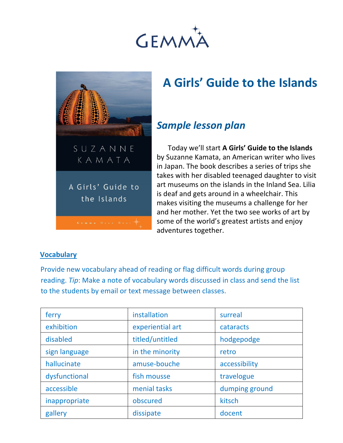



# **A Girls' Guide to the Islands**

# *Sample lesson plan*

Today we'll start **A Girls' Guide to the Islands** by Suzanne Kamata, an American writer who lives in Japan. The book describes a series of trips she takes with her disabled teenaged daughter to visit art museums on the islands in the Inland Sea. Lilia is deaf and gets around in a wheelchair. This makes visiting the museums a challenge for her and her mother. Yet the two see works of art by some of the world's greatest artists and enjoy adventures together.

#### **Vocabulary**

Provide new vocabulary ahead of reading or flag difficult words during group reading. *Tip*: Make a note of vocabulary words discussed in class and send the list to the students by email or text message between classes.

| ferry         | installation     | surreal        |
|---------------|------------------|----------------|
| exhibition    | experiential art | cataracts      |
| disabled      | titled/untitled  | hodgepodge     |
| sign language | in the minority  | retro          |
| hallucinate   | amuse-bouche     | accessibility  |
| dysfunctional | fish mousse      | travelogue     |
| accessible    | menial tasks     | dumping ground |
| inappropriate | obscured         | kitsch         |
| gallery       | dissipate        | docent         |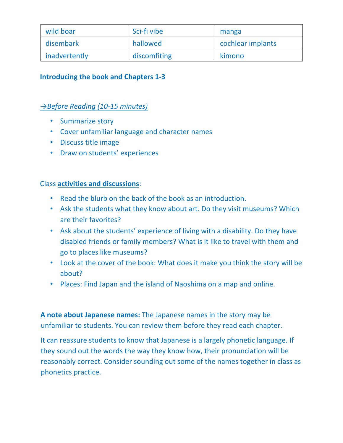| wild boar     | Sci-fi vibe  | manga             |
|---------------|--------------|-------------------|
| disembark     | hallowed     | cochlear implants |
| inadvertently | discomfiting | kimono            |

#### **Introducing the book and Chapters 1-3**

#### *→Before Reading (10-15 minutes)*

- Summarize story
- Cover unfamiliar language and character names
- Discuss title image
- Draw on students' experiences

#### Class **activities and discussions**:

- Read the blurb on the back of the book as an introduction.
- Ask the students what they know about art. Do they visit museums? Which are their favorites?
- Ask about the students' experience of living with a disability. Do they have disabled friends or family members? What is it like to travel with them and go to places like museums?
- Look at the cover of the book: What does it make you think the story will be about?
- Places: Find Japan and the island of Naoshima on a map and online.

**A note about Japanese names:** The Japanese names in the story may be unfamiliar to students. You can review them before they read each chapter.

It can reassure students to know that Japanese is a largely phonetic language. If they sound out the words the way they know how, their pronunciation will be reasonably correct. Consider sounding out some of the names together in class as phonetics practice.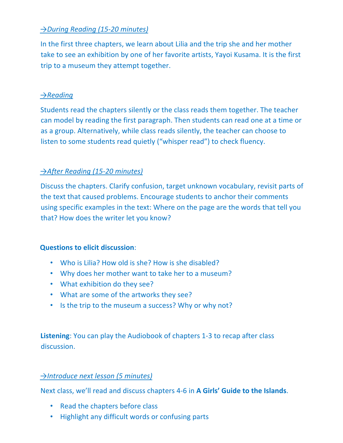# *→During Reading (15-20 minutes)*

In the first three chapters, we learn about Lilia and the trip she and her mother take to see an exhibition by one of her favorite artists, Yayoi Kusama. It is the first trip to a museum they attempt together.

## *→Reading*

Students read the chapters silently or the class reads them together. The teacher can model by reading the first paragraph. Then students can read one at a time or as a group. Alternatively, while class reads silently, the teacher can choose to listen to some students read quietly ("whisper read") to check fluency.

# *→After Reading (15-20 minutes)*

Discuss the chapters. Clarify confusion, target unknown vocabulary, revisit parts of the text that caused problems. Encourage students to anchor their comments using specific examples in the text: Where on the page are the words that tell you that? How does the writer let you know?

## **Questions to elicit discussion**:

- Who is Lilia? How old is she? How is she disabled?
- Why does her mother want to take her to a museum?
- What exhibition do they see?
- What are some of the artworks they see?
- Is the trip to the museum a success? Why or why not?

**Listening**: You can play the Audiobook of chapters 1-3 to recap after class discussion.

## *→Introduce next lesson (5 minutes)*

Next class, we'll read and discuss chapters 4-6 in **A Girls' Guide to the Islands**.

- Read the chapters before class
- Highlight any difficult words or confusing parts